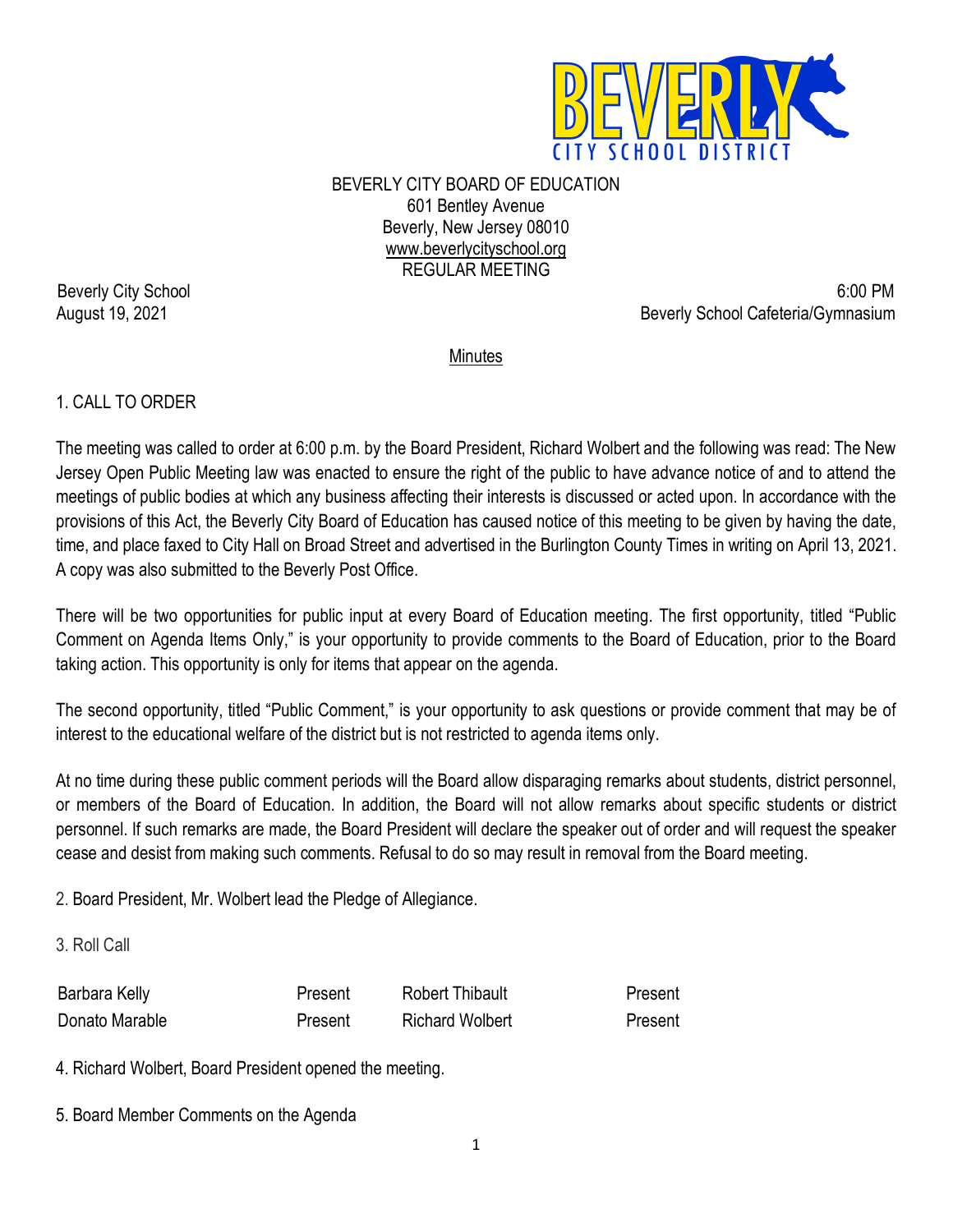

BEVERLY CITY BOARD OF EDUCATION 601 Bentley Avenue Beverly, New Jersey 08010 [www.beverlycityschool.org](http://www.beverlycityschool.org/) REGULAR MEETING

Beverly City School 6:00 PM August 19, 2021 **Beverly School Cafeteria/Gymnasium** 

### Minutes

### 1. CALL TO ORDER

The meeting was called to order at 6:00 p.m. by the Board President, Richard Wolbert and the following was read: The New Jersey Open Public Meeting law was enacted to ensure the right of the public to have advance notice of and to attend the meetings of public bodies at which any business affecting their interests is discussed or acted upon. In accordance with the provisions of this Act, the Beverly City Board of Education has caused notice of this meeting to be given by having the date, time, and place faxed to City Hall on Broad Street and advertised in the Burlington County Times in writing on April 13, 2021. A copy was also submitted to the Beverly Post Office.

There will be two opportunities for public input at every Board of Education meeting. The first opportunity, titled "Public Comment on Agenda Items Only," is your opportunity to provide comments to the Board of Education, prior to the Board taking action. This opportunity is only for items that appear on the agenda.

The second opportunity, titled "Public Comment," is your opportunity to ask questions or provide comment that may be of interest to the educational welfare of the district but is not restricted to agenda items only.

At no time during these public comment periods will the Board allow disparaging remarks about students, district personnel, or members of the Board of Education. In addition, the Board will not allow remarks about specific students or district personnel. If such remarks are made, the Board President will declare the speaker out of order and will request the speaker cease and desist from making such comments. Refusal to do so may result in removal from the Board meeting.

2. Board President, Mr. Wolbert lead the Pledge of Allegiance.

3. Roll Call

| ara Kelly,<br><b>Barbar</b> | Tiibauit                  |  |
|-----------------------------|---------------------------|--|
| <b>Jonato Marable</b>       | <b>Richard</b><br>Wolbert |  |

4. Richard Wolbert, Board President opened the meeting.

5. Board Member Comments on the Agenda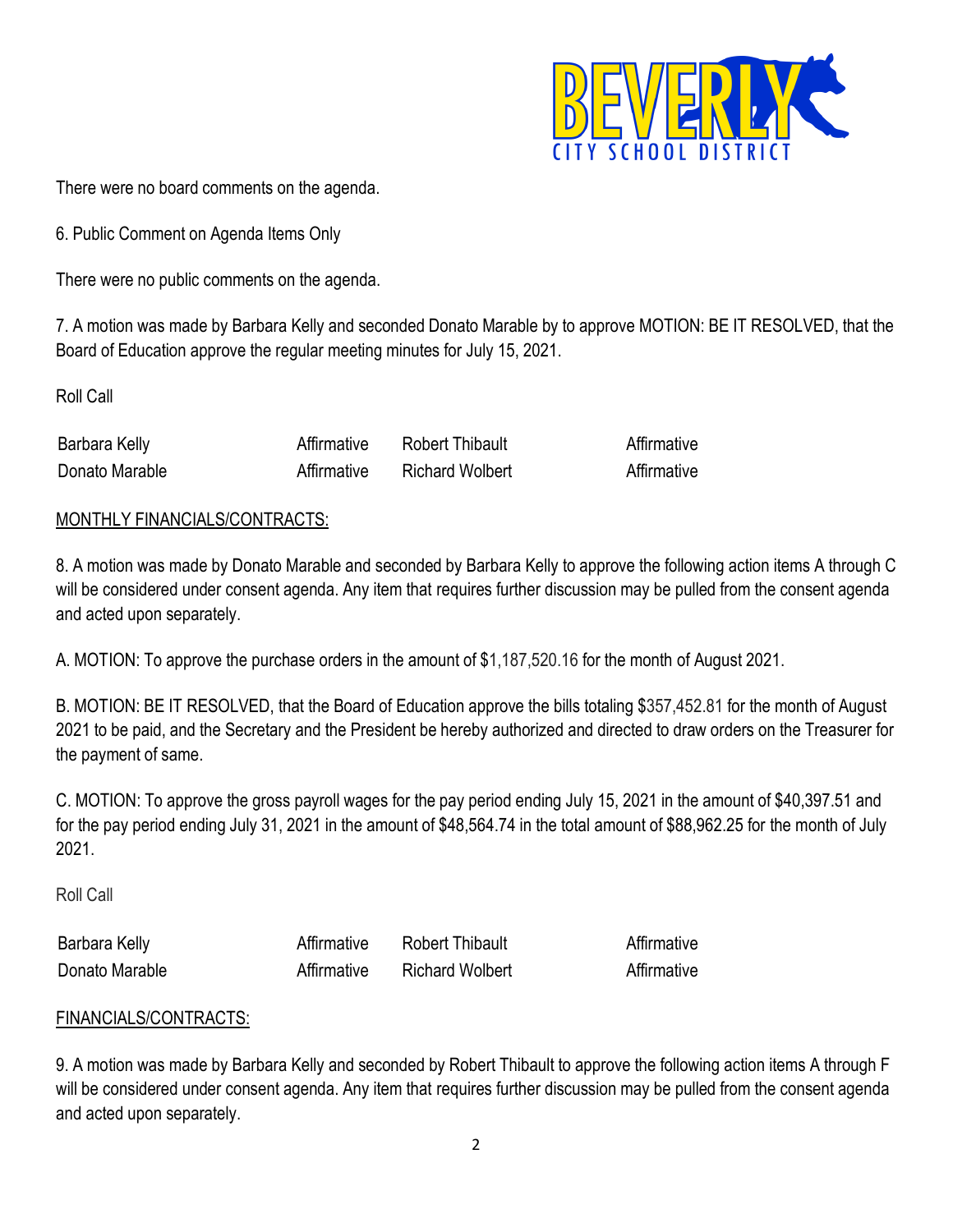

There were no board comments on the agenda.

6. Public Comment on Agenda Items Only

There were no public comments on the agenda.

7. A motion was made by Barbara Kelly and seconded Donato Marable by to approve MOTION: BE IT RESOLVED, that the Board of Education approve the regular meeting minutes for July 15, 2021.

Roll Call

| Barbara Kelly  | √ffirmative | Thibault<br>Robert |  |
|----------------|-------------|--------------------|--|
| Donato Marable |             | Richard Wolbert    |  |

# MONTHLY FINANCIALS/CONTRACTS:

8. A motion was made by Donato Marable and seconded by Barbara Kelly to approve the following action items A through C will be considered under consent agenda. Any item that requires further discussion may be pulled from the consent agenda and acted upon separately.

A. [MOTION: To approve the purchase orders in the amount of \\$1,187,520.16](http://www.beverly.k12.nj.us/bcs/Member%27s%20Area/Board%20Only/Board%20Attachments/Item%23%209D%20March%202015%20PO%20List.PDF?1426684290) for the month of August 2021.

B. MOTION: BE IT RESOLVED, that the Board of Education approve the bills totaling \$357,452.81 for the month of August 2021 to be paid, and the Secretary and the President be hereby authorized and directed to draw orders on the Treasurer for the payment of same.

[C. MOTION: To approve the gross payroll wages](http://www.beverly.k12.nj.us/bcs/Member%27s%20Area/Board%20Only/Board%20Attachments/Item%23%209F%20Gross%20Payroll%20March%202015%20Agenda.pdf?1426684353) for the pay period ending July 15, 2021 in the amount of \$40,397.51 and for the pay period ending July 31, 2021 in the amount of \$48,564.74 in the total amount of \$88,962.25 for the month of July 2021.

Roll Call

| 'hara Kellv<br><b>Bar</b> | ∶R∩hen<br>nipault  |  |
|---------------------------|--------------------|--|
| Donato Marable            | Wolbert<br>Richard |  |

### FINANCIALS/CONTRACTS:

9. A motion was made by Barbara Kelly and seconded by Robert Thibault to approve the following action items A through F will be considered under consent agenda. Any item that requires further discussion may be pulled from the consent agenda and acted upon separately.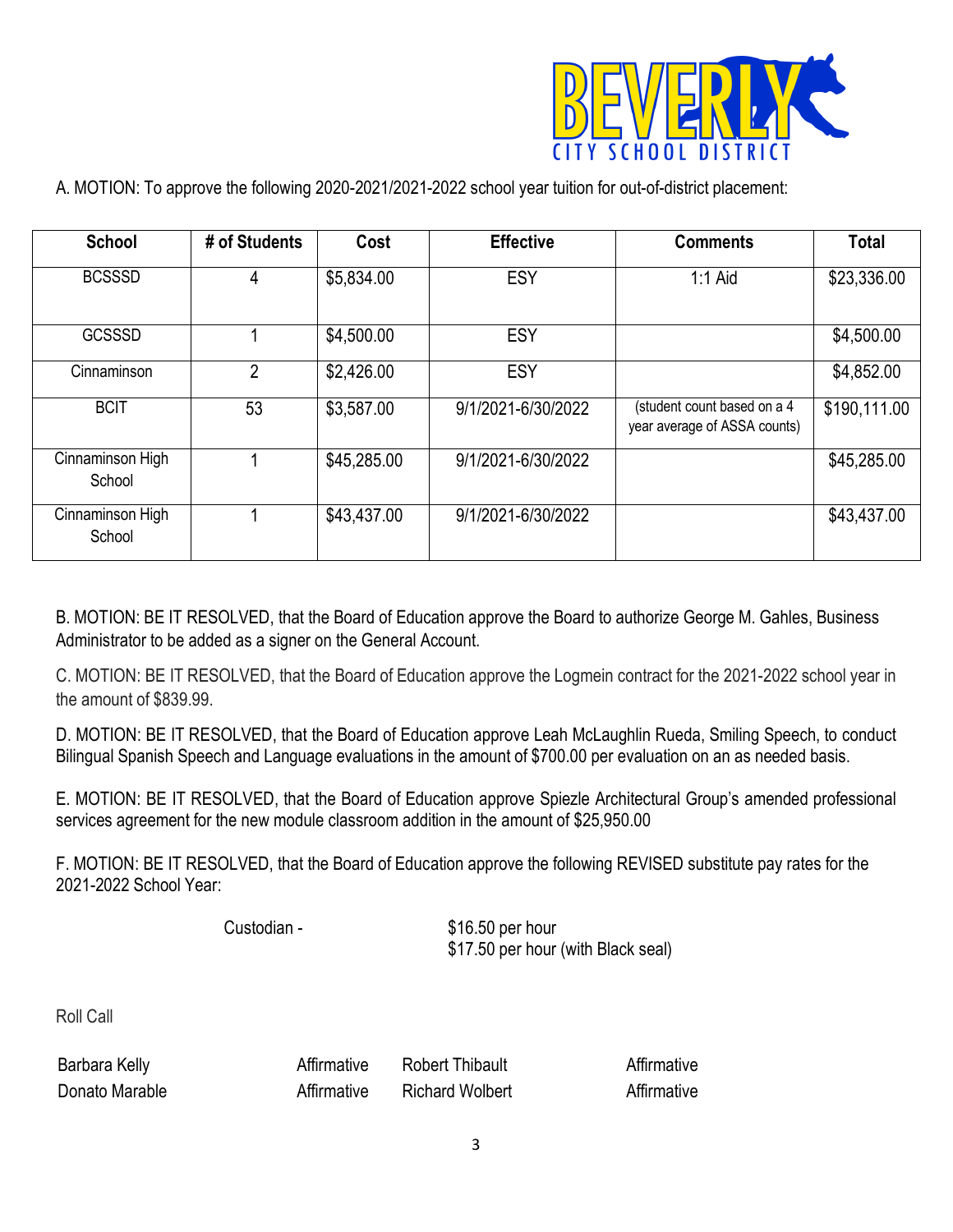

A. MOTION: To approve the following 2020-2021/2021-2022 school year tuition for out-of-district placement:

| <b>School</b>              | # of Students | Cost        | <b>Effective</b>   | <b>Comments</b>                                             | <b>Total</b> |
|----------------------------|---------------|-------------|--------------------|-------------------------------------------------------------|--------------|
| <b>BCSSSD</b>              | 4             | \$5,834.00  | ESY                | $1:1$ Aid                                                   | \$23,336.00  |
| <b>GCSSSD</b>              |               | \$4,500.00  | ESY                |                                                             | \$4,500.00   |
| Cinnaminson                | 2             | \$2,426.00  | ESY                |                                                             | \$4,852.00   |
| <b>BCIT</b>                | 53            | \$3,587.00  | 9/1/2021-6/30/2022 | (student count based on a 4<br>year average of ASSA counts) | \$190,111.00 |
| Cinnaminson High<br>School |               | \$45,285.00 | 9/1/2021-6/30/2022 |                                                             | \$45,285.00  |
| Cinnaminson High<br>School |               | \$43,437.00 | 9/1/2021-6/30/2022 |                                                             | \$43,437.00  |

B. MOTION: BE IT RESOLVED, that the Board of Education approve the Board to authorize George M. Gahles, Business Administrator to be added as a signer on the General Account.

C. MOTION: BE IT RESOLVED, that the Board of Education approve the Logmein contract for the 2021-2022 school year in the amount of \$839.99.

D. MOTION: BE IT RESOLVED, that the Board of Education approve Leah McLaughlin Rueda, Smiling Speech, to conduct Bilingual Spanish Speech and Language evaluations in the amount of \$700.00 per evaluation on an as needed basis.

E. MOTION: BE IT RESOLVED, that the Board of Education approve Spiezle Architectural Group's amended professional services agreement for the new module classroom addition in the amount of \$25,950.00

F. MOTION: BE IT RESOLVED, that the Board of Education approve the following REVISED substitute pay rates for the 2021-2022 School Year:

Custodian - \$16.50 per hour \$17.50 per hour (with Black seal)

Roll Call

| Barbara Kelly<br>$\sim$ 100 $\sim$ 100 $\sim$ 100 $\sim$ 100 $\sim$ 100 $\sim$ 100 $\sim$ 100 $\sim$ 100 $\sim$ 100 $\sim$ 100 $\sim$ 100 $\sim$ 100 $\sim$ 100 $\sim$ 100 $\sim$ 100 $\sim$ 100 $\sim$ 100 $\sim$ 100 $\sim$ 100 $\sim$ 100 $\sim$ 100 $\sim$ 100 $\sim$ 100 $\sim$ 100 $\sim$ | R∩h≙rt          | auve |
|-------------------------------------------------------------------------------------------------------------------------------------------------------------------------------------------------------------------------------------------------------------------------------------------------|-----------------|------|
| Donato Marable                                                                                                                                                                                                                                                                                  | Richard Wolbert |      |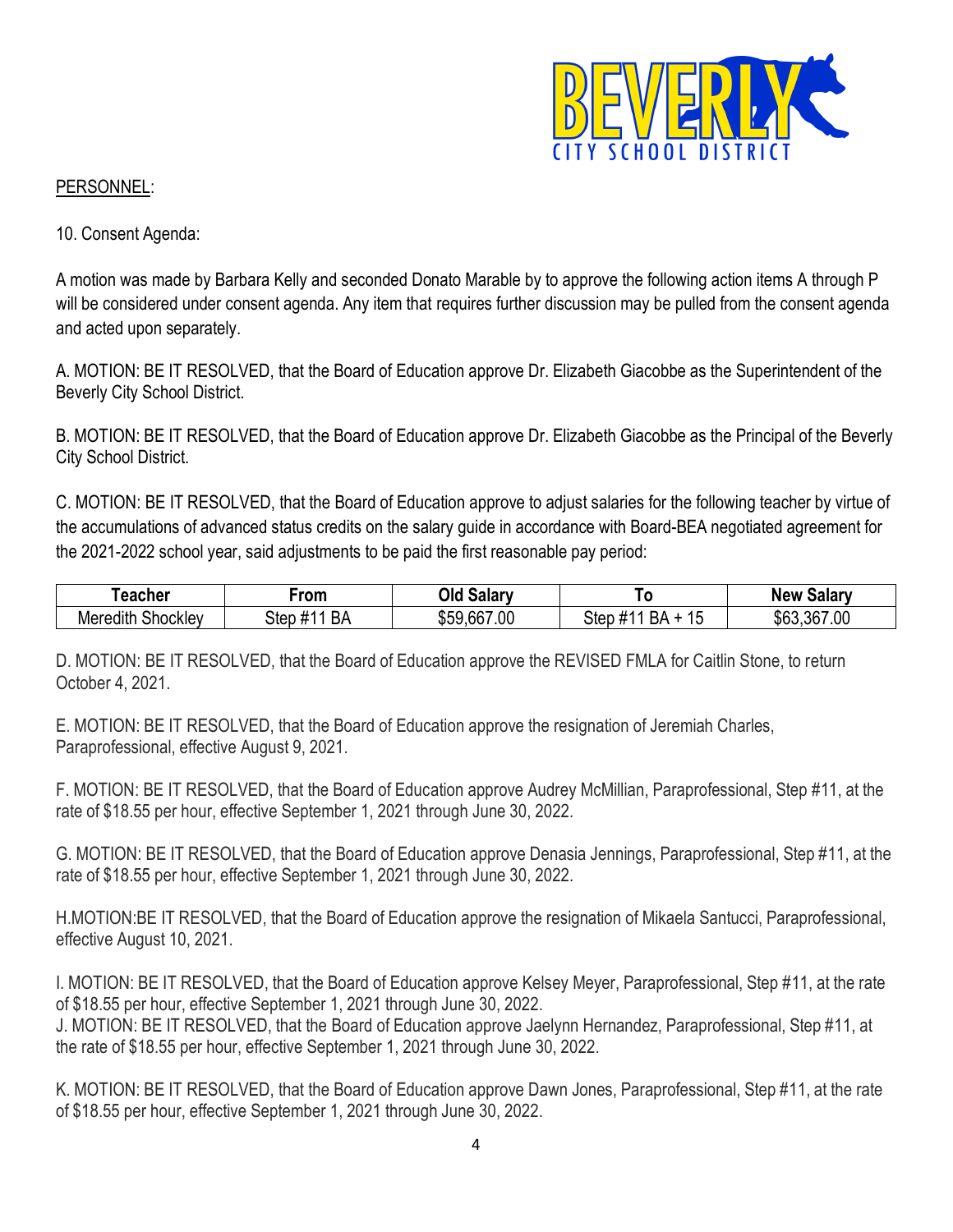

# PERSONNEL:

10. Consent Agenda:

A motion was made by Barbara Kelly and seconded Donato Marable by to approve the following action items A through P will be considered under consent agenda. Any item that requires further discussion may be pulled from the consent agenda and acted upon separately.

A. MOTION: BE IT RESOLVED, that the Board of Education approve Dr. Elizabeth Giacobbe as the Superintendent of the Beverly City School District.

B. MOTION: BE IT RESOLVED, that the Board of Education approve Dr. Elizabeth Giacobbe as the Principal of the Beverly City School District.

C. MOTION: BE IT RESOLVED, that the Board of Education approve to adjust salaries for the following teacher by virtue of the accumulations of advanced status credits on the salary guide in accordance with Board-BEA negotiated agreement for the 2021-2022 school year, said adjustments to be paid the first reasonable pay period:

| .eacher                                 | rom                         | Эlс<br>salary   |                               | Salarv<br>New   |
|-----------------------------------------|-----------------------------|-----------------|-------------------------------|-----------------|
| $\cdots$<br><b>Shockley</b><br>Meredith | $\cdots$<br>BΑ<br>Step<br>п | ,667.00<br>\$59 | Step<br>^ ס<br>אר<br><b>J</b> | ,367.00<br>\$63 |

D. MOTION: BE IT RESOLVED, that the Board of Education approve the REVISED FMLA for Caitlin Stone, to return October 4, 2021.

E. MOTION: BE IT RESOLVED, that the Board of Education approve the resignation of Jeremiah Charles, Paraprofessional, effective August 9, 2021.

F. MOTION: BE IT RESOLVED, that the Board of Education approve Audrey McMillian, Paraprofessional, Step #11, at the rate of \$18.55 per hour, effective September 1, 2021 through June 30, 2022.

G. MOTION: BE IT RESOLVED, that the Board of Education approve Denasia Jennings, Paraprofessional, Step #11, at the rate of \$18.55 per hour, effective September 1, 2021 through June 30, 2022.

H.MOTION:BE IT RESOLVED, that the Board of Education approve the resignation of Mikaela Santucci, Paraprofessional, effective August 10, 2021.

I. MOTION: BE IT RESOLVED, that the Board of Education approve Kelsey Meyer, Paraprofessional, Step #11, at the rate of \$18.55 per hour, effective September 1, 2021 through June 30, 2022.

J. MOTION: BE IT RESOLVED, that the Board of Education approve Jaelynn Hernandez, Paraprofessional, Step #11, at the rate of \$18.55 per hour, effective September 1, 2021 through June 30, 2022.

K. MOTION: BE IT RESOLVED, that the Board of Education approve Dawn Jones, Paraprofessional, Step #11, at the rate of \$18.55 per hour, effective September 1, 2021 through June 30, 2022.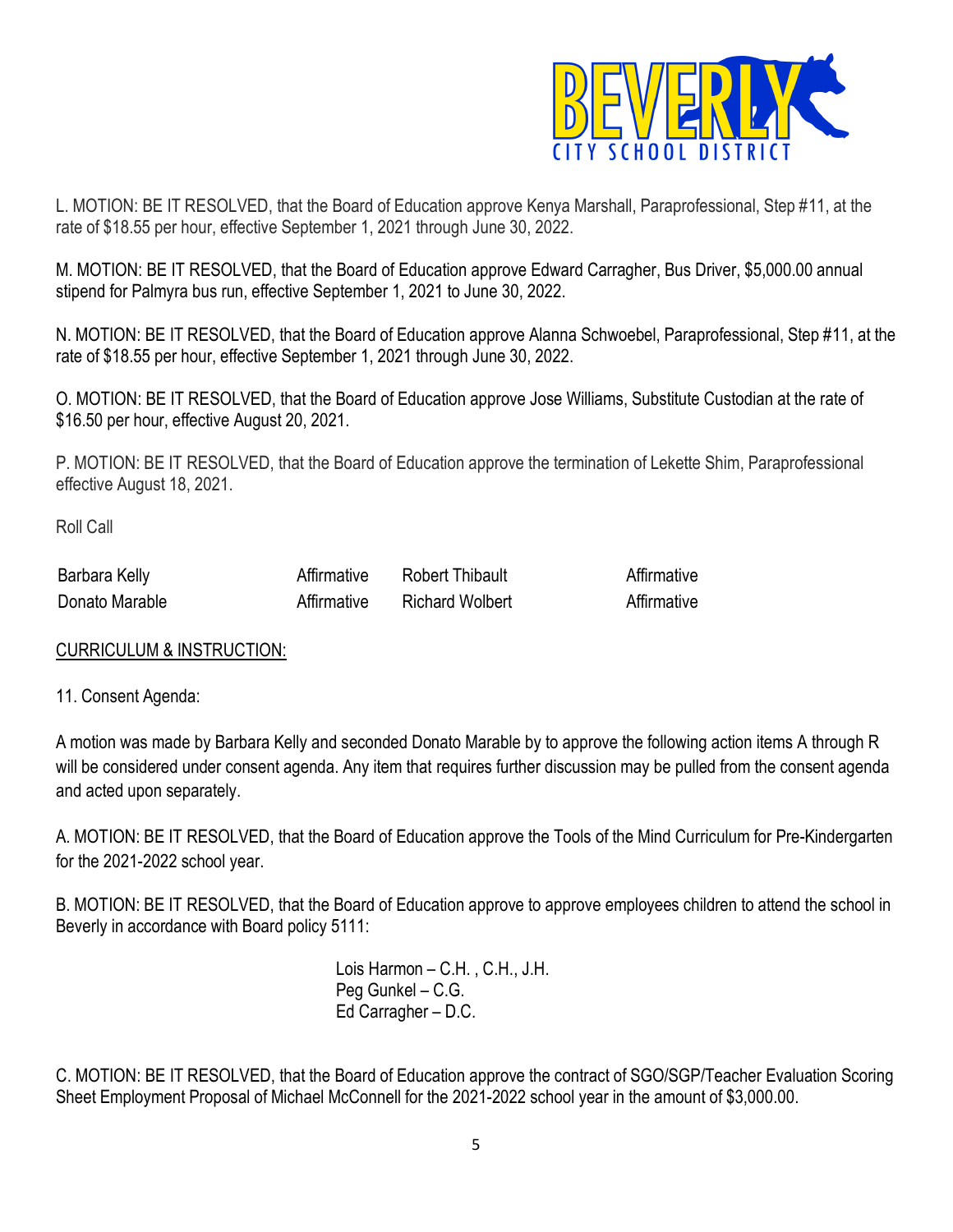

L. MOTION: BE IT RESOLVED, that the Board of Education approve Kenya Marshall, Paraprofessional, Step #11, at the rate of \$18.55 per hour, effective September 1, 2021 through June 30, 2022.

M. MOTION: BE IT RESOLVED, that the Board of Education approve Edward Carragher, Bus Driver, \$5,000.00 annual stipend for Palmyra bus run, effective September 1, 2021 to June 30, 2022.

N. MOTION: BE IT RESOLVED, that the Board of Education approve Alanna Schwoebel, Paraprofessional, Step #11, at the rate of \$18.55 per hour, effective September 1, 2021 through June 30, 2022.

O. MOTION: BE IT RESOLVED, that the Board of Education approve Jose Williams, Substitute Custodian at the rate of \$16.50 per hour, effective August 20, 2021.

P. MOTION: BE IT RESOLVED, that the Board of Education approve the termination of Lekette Shim, Paraprofessional effective August 18, 2021.

Roll Call

| <b>Barbara Kelly</b> | ndauit                |  |
|----------------------|-----------------------|--|
| Donato Marable       | Wolbert<br>⊟Richard : |  |

### CURRICULUM & INSTRUCTION:

### 11. Consent Agenda:

A motion was made by Barbara Kelly and seconded Donato Marable by to approve the following action items A through R will be considered under consent agenda. Any item that requires further discussion may be pulled from the consent agenda and acted upon separately.

A. MOTION: BE IT RESOLVED, that the Board of Education approve the Tools of the Mind Curriculum for Pre-Kindergarten for the 2021-2022 school year.

B. MOTION: BE IT RESOLVED, that the Board of Education approve to approve employees children to attend the school in Beverly in accordance with Board policy 5111:

> Lois Harmon – C.H. , C.H., J.H. Peg Gunkel – C.G. Ed Carragher – D.C.

C. MOTION: BE IT RESOLVED, that the Board of Education approve the contract of SGO/SGP/Teacher Evaluation Scoring Sheet Employment Proposal of Michael McConnell for the 2021-2022 school year in the amount of \$3,000.00.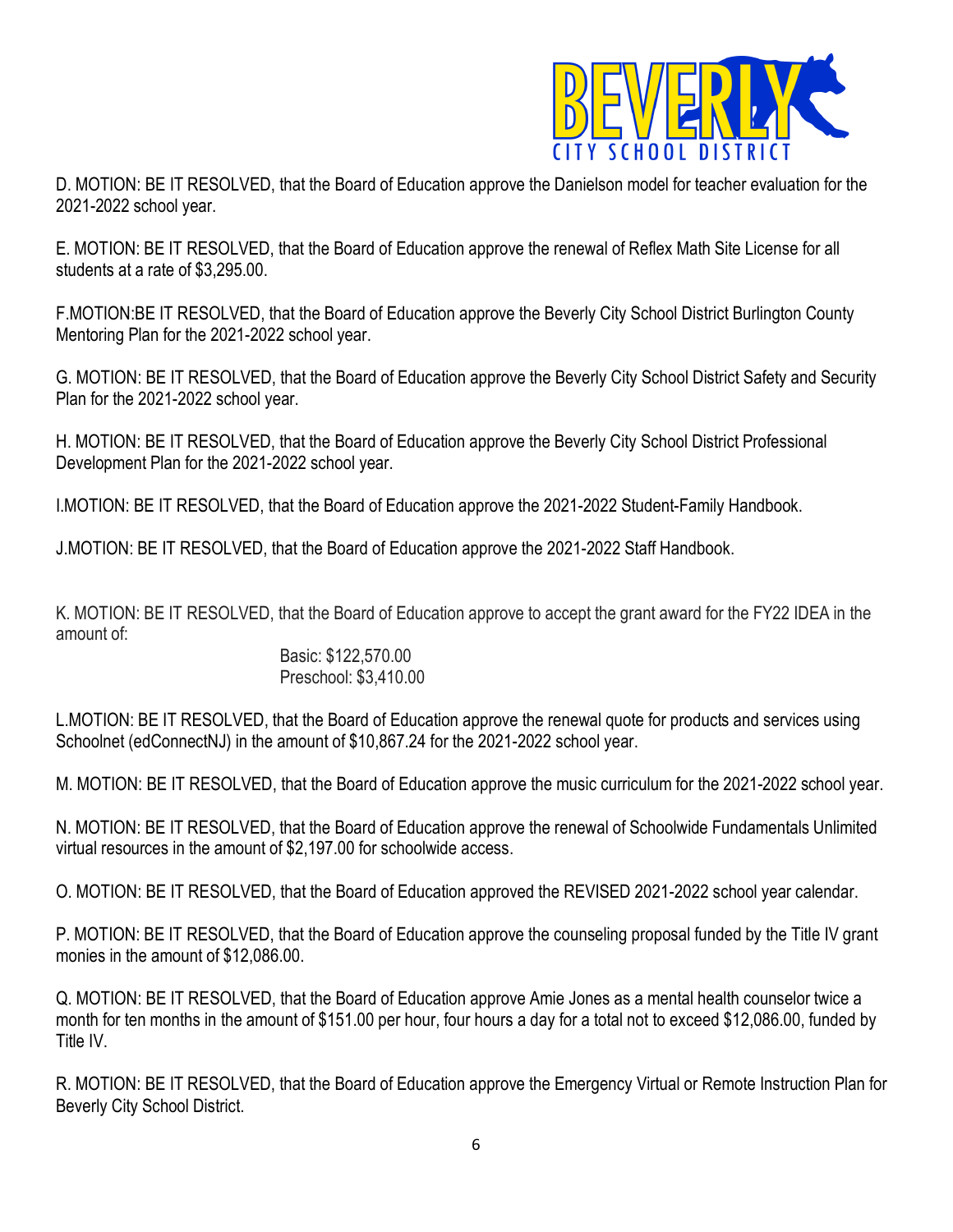

D. MOTION: BE IT RESOLVED, that the Board of Education approve the Danielson model for teacher evaluation for the 2021-2022 school year.

E. MOTION: BE IT RESOLVED, that the Board of Education approve the renewal of Reflex Math Site License for all students at a rate of \$3,295.00.

F.MOTION:BE IT RESOLVED, that the Board of Education approve the Beverly City School District Burlington County Mentoring Plan for the 2021-2022 school year.

G. MOTION: BE IT RESOLVED, that the Board of Education approve the Beverly City School District Safety and Security Plan for the 2021-2022 school year.

H. MOTION: BE IT RESOLVED, that the Board of Education approve the Beverly City School District Professional Development Plan for the 2021-2022 school year.

I.MOTION: BE IT RESOLVED, that the Board of Education approve the 2021-2022 Student-Family Handbook.

J.MOTION: BE IT RESOLVED, that the Board of Education approve the 2021-2022 Staff Handbook.

K. MOTION: BE IT RESOLVED, that the Board of Education approve to accept the grant award for the FY22 IDEA in the amount of:

### Basic: \$122,570.00 Preschool: \$3,410.00

L.MOTION: BE IT RESOLVED, that the Board of Education approve the renewal quote for products and services using Schoolnet (edConnectNJ) in the amount of \$10,867.24 for the 2021-2022 school year.

M. MOTION: BE IT RESOLVED, that the Board of Education approve the music curriculum for the 2021-2022 school year.

N. MOTION: BE IT RESOLVED, that the Board of Education approve the renewal of Schoolwide Fundamentals Unlimited virtual resources in the amount of \$2,197.00 for schoolwide access.

O. MOTION: BE IT RESOLVED, that the Board of Education approved the REVISED 2021-2022 school year calendar.

P. MOTION: BE IT RESOLVED, that the Board of Education approve the counseling proposal funded by the Title IV grant monies in the amount of \$12,086.00.

Q. MOTION: BE IT RESOLVED, that the Board of Education approve Amie Jones as a mental health counselor twice a month for ten months in the amount of \$151.00 per hour, four hours a day for a total not to exceed \$12,086.00, funded by Title IV.

R. MOTION: BE IT RESOLVED, that the Board of Education approve the Emergency Virtual or Remote Instruction Plan for Beverly City School District.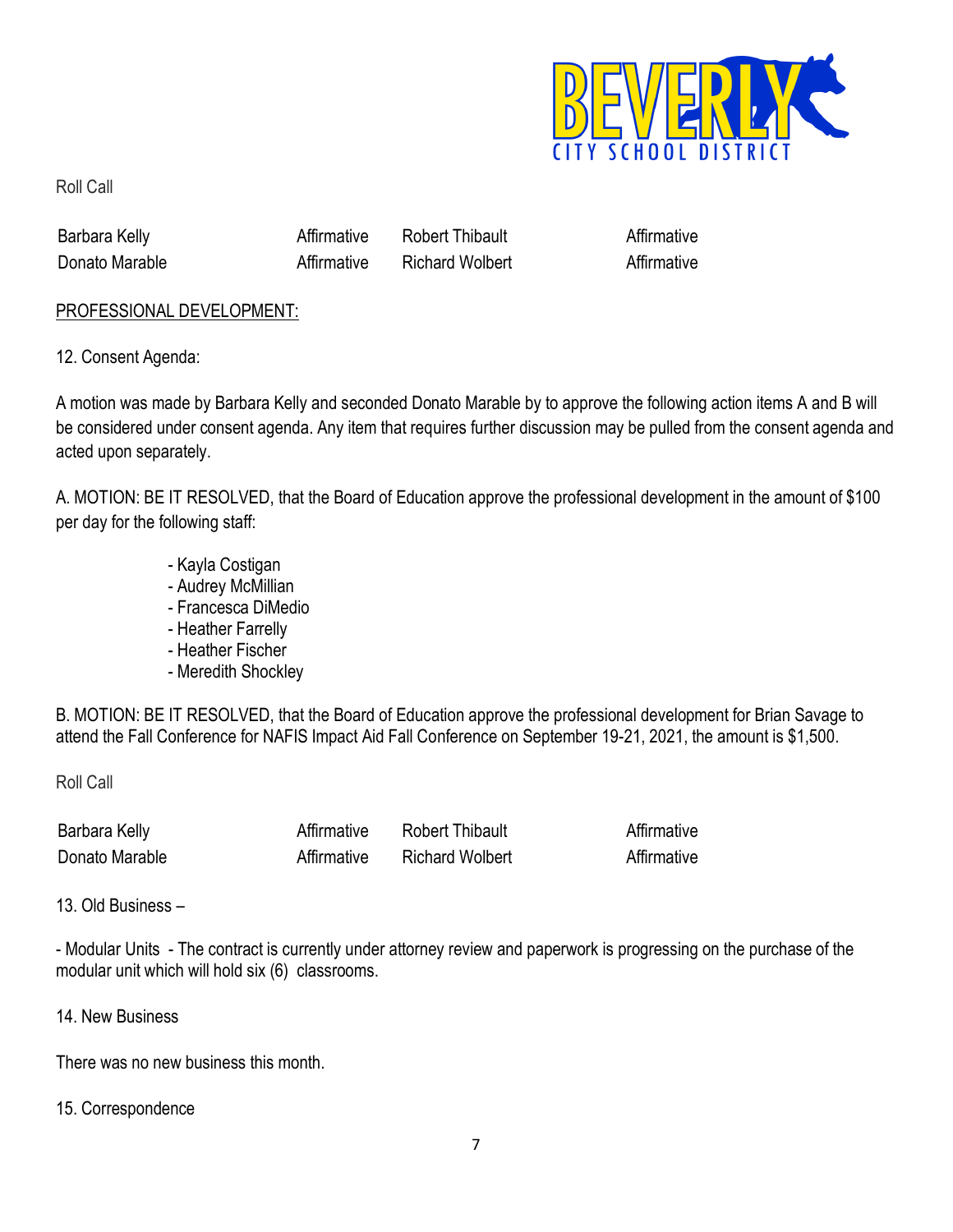

Roll Call

| Barbara Kelly  | ⊺hibault<br>Rohert |  |
|----------------|--------------------|--|
| Donato Marable | Richard Wolbert    |  |

### PROFESSIONAL DEVELOPMENT:

12. Consent Agenda:

A motion was made by Barbara Kelly and seconded Donato Marable by to approve the following action items A and B will be considered under consent agenda. Any item that requires further discussion may be pulled from the consent agenda and acted upon separately.

A. MOTION: BE IT RESOLVED, that the Board of Education approve the professional development in the amount of \$100 per day for the following staff:

- Kayla Costigan
- Audrey McMillian
- Francesca DiMedio
- Heather Farrelly
- Heather Fischer
- Meredith Shockley

B. MOTION: BE IT RESOLVED, that the Board of Education approve the professional development for Brian Savage to attend the Fall Conference for NAFIS Impact Aid Fall Conference on September 19-21, 2021, the amount is \$1,500.

Roll Call

| :Barr<br><b>Aeliv</b> |                    |  |
|-----------------------|--------------------|--|
| <b>Uonato Marable</b> | Wolbert<br>∖hard ∶ |  |

13. Old Business –

- Modular Units - The contract is currently under attorney review and paperwork is progressing on the purchase of the modular unit which will hold six (6) classrooms.

14. New Business

There was no new business this month.

### 15. Correspondence